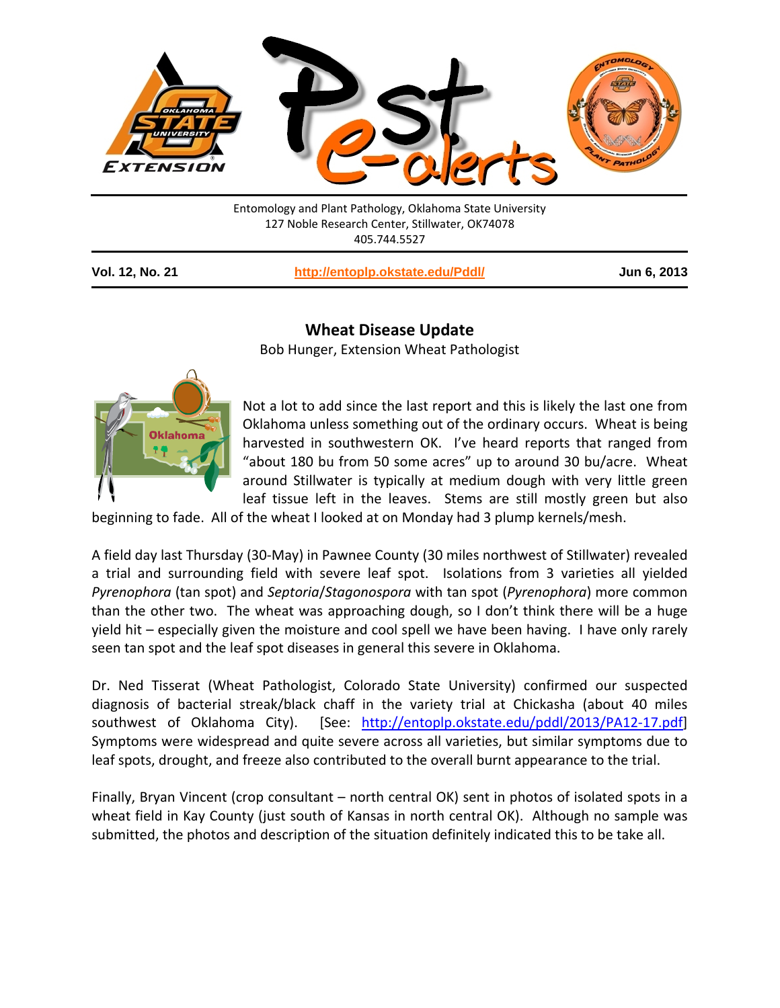

Entomology and Plant Pathology, Oklahoma State University 127 Noble Research Center, Stillwater, OK74078 405.744.5527

| Vol. 12, No. 21 | http://entoplp.okstate.edu/Pddl/ | Jun 6, 2013 |
|-----------------|----------------------------------|-------------|
|-----------------|----------------------------------|-------------|

## **Wheat Disease Update**

Bob Hunger, Extension Wheat Pathologist



Not a lot to add since the last report and this is likely the last one from Oklahoma unless something out of the ordinary occurs. Wheat is being harvested in southwestern OK. I've heard reports that ranged from "about 180 bu from 50 some acres" up to around 30 bu/acre. Wheat around Stillwater is typically at medium dough with very little green leaf tissue left in the leaves. Stems are still mostly green but also

beginning to fade. All of the wheat I looked at on Monday had 3 plump kernels/mesh.

A field day last Thursday (30-May) in Pawnee County (30 miles northwest of Stillwater) revealed a trial and surrounding field with severe leaf spot. Isolations from 3 varieties all yielded *Pyrenophora* (tan spot) and *Septoria*/*Stagonospora* with tan spot (*Pyrenophora*) more common than the other two. The wheat was approaching dough, so I don't think there will be a huge yield hit – especially given the moisture and cool spell we have been having. I have only rarely seen tan spot and the leaf spot diseases in general this severe in Oklahoma.

Dr. Ned Tisserat (Wheat Pathologist, Colorado State University) confirmed our suspected diagnosis of bacterial streak/black chaff in the variety trial at Chickasha (about 40 miles southwest of Oklahoma City). [See: [http://entoplp.okstate.edu/pddl/2013/PA12-17.pdf\]](http://entoplp.okstate.edu/pddl/2013/PA12-17.pdf) Symptoms were widespread and quite severe across all varieties, but similar symptoms due to leaf spots, drought, and freeze also contributed to the overall burnt appearance to the trial.

Finally, Bryan Vincent (crop consultant – north central OK) sent in photos of isolated spots in a wheat field in Kay County (just south of Kansas in north central OK). Although no sample was submitted, the photos and description of the situation definitely indicated this to be take all.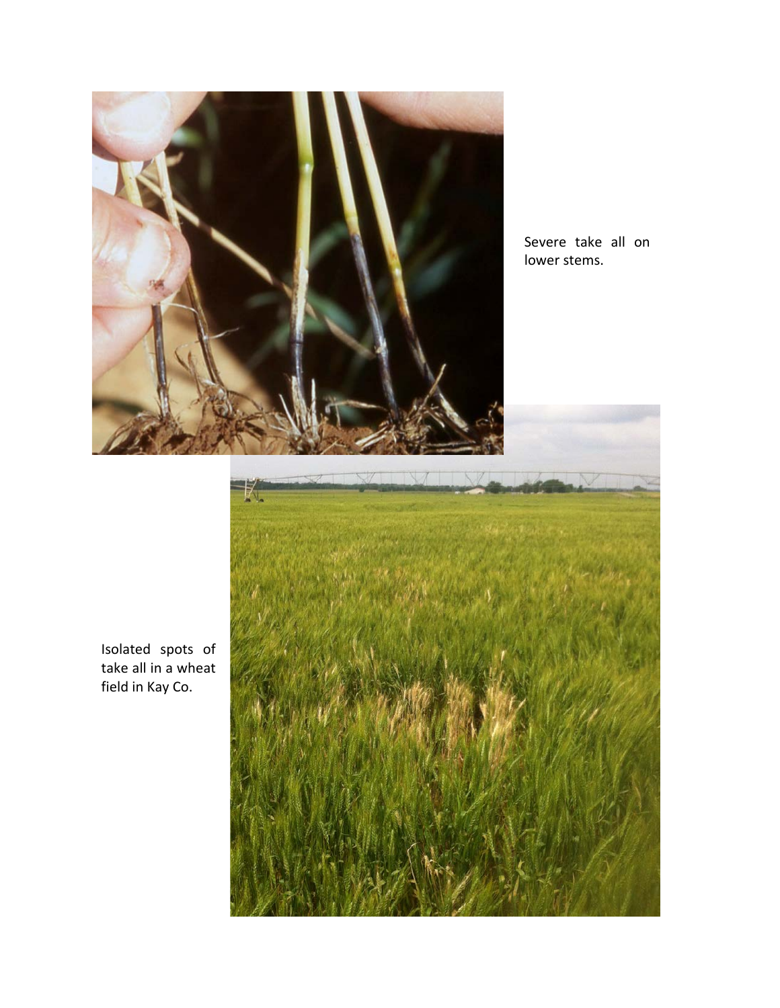

Severe take all on lower stems.



Isolated spots of take all in a wheat field in Kay Co.